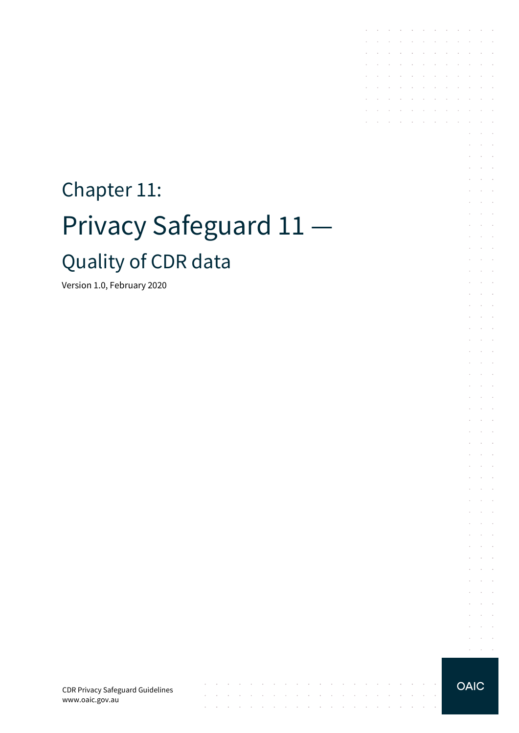# Chapter 11: Privacy Safeguard 11 — Quality of CDR data

Version 1.0, February 2020

CDR Privacy Safeguard Guidelines www.oaic.gov.au

 $\mathcal{A}^{\mathcal{A}}$  and  $\mathcal{A}^{\mathcal{A}}$  are  $\mathcal{A}^{\mathcal{A}}$  . Then

 $\mathcal{A}$  is a set of the set of the set of  $\mathcal{A}$  , and  $\mathcal{A}$ 

the contract of the contract of the contract of the

 $\mathcal{L}_\mathcal{A}$  , where the contribution of the contribution of the contribution of  $\mathcal{L}_\mathcal{A}$ 

 $\sim$ 

 $\sim$ 

**Carl Carl** 

**OAIC** 

the contract of the contract of the

**Contractor** 

 $\sim$ 

 $\sim$ **Service** and a state  $\bar{z}$  $\mathcal{L}^{\mathcal{L}}$  $\Delta\sim 10^{-1}$ 

 $\sim$  $\Delta \sim 100$ 

 $\sim$  $\sim$  $\sim$ 

 $\sim$ **Contract**  $\bar{z}$ à.  $\mathcal{L}^{\text{max}}$ and a state  $\mathcal{L}$  $\sim$  $\mathcal{L}^{\text{max}}$  $\sim$  $\sim 10^{-1}$  .

 $\epsilon$  $\alpha$  ,  $\beta$  ,  $\alpha$  $\mathcal{L}^{\text{max}}$  and  $\mathcal{L}^{\text{max}}$ V.  $\sim$  $\sim$ **Contractor**  $\mathcal{L}^{\text{max}}$  and  $\mathcal{L}^{\text{max}}$  $\mathcal{L}$ and the control and a state

and a state **Service** State

 $\mathcal{L}^{\text{max}}$  and  $\mathcal{L}^{\text{max}}$  $\mathcal{L}^{\text{max}}$  $\mathcal{L}^{\text{max}}$ 

 $\sim$  $\sim 10^{-1}$  . and the control

 $\mathcal{L}^{\pm}$  $\sim 10^{-10}$ **Service** State

 $\mathcal{L}^{\pm}$  $\sim$  $\sim$  $\sim$ 

 $\mathcal{L}^{\text{max}}$  $\sim$  $\Delta\sim 10^{11}$  m  $^{-1}$  $\alpha$  , and  $\alpha$ 

 $\mathcal{L}^{\text{max}}$  and  $\mathcal{L}^{\text{max}}$  $\mathcal{L}^{\text{max}}$  and  $\mathcal{L}^{\text{max}}$ 

and the company of the company of the

 $\mathcal{L}^{\mathcal{A}}$  . The set of the set of the set of the set of the set of  $\mathcal{L}^{\mathcal{A}}$  $\mathcal{L}^{\text{max}}$ 

 $\mathcal{L}^{\mathcal{A}}$  . The contribution of the contribution of the contribution of  $\mathcal{L}^{\mathcal{A}}$ and a state of the state of the

the control of the control of

the contract of the contract of the  $\mathcal{A}$  . The contribution of the contribution of the contribution of  $\mathcal{A}$ 

 $\mathcal{L}$  $\sim$  10  $\sim$ 

 $\sim$  $\sim$  $\sim$ 

÷.  $\sim$ 

t,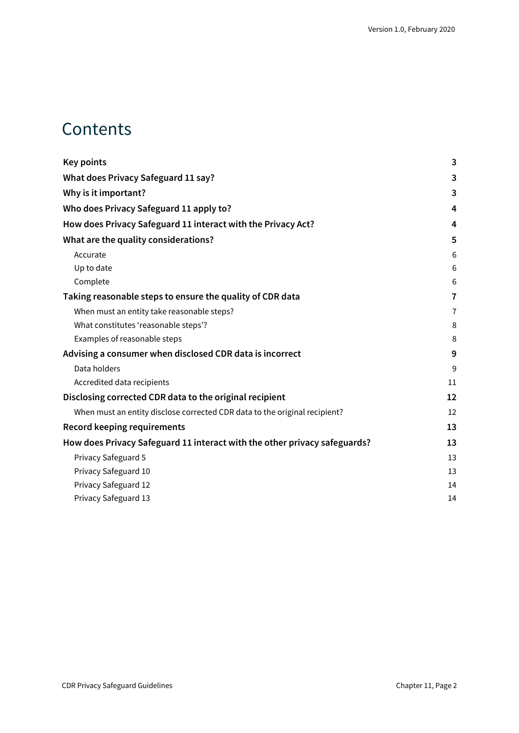### **Contents**

| <b>Key points</b>                                                          | 3              |
|----------------------------------------------------------------------------|----------------|
| What does Privacy Safeguard 11 say?                                        | 3              |
| Why is it important?                                                       | 3              |
| Who does Privacy Safeguard 11 apply to?                                    | 4              |
| How does Privacy Safeguard 11 interact with the Privacy Act?               | 4              |
| What are the quality considerations?                                       | 5              |
| Accurate                                                                   | 6              |
| Up to date                                                                 | 6              |
| Complete                                                                   | 6              |
| Taking reasonable steps to ensure the quality of CDR data                  | $\overline{7}$ |
| When must an entity take reasonable steps?                                 | $\overline{7}$ |
| What constitutes 'reasonable steps'?                                       | 8              |
| Examples of reasonable steps                                               | 8              |
| Advising a consumer when disclosed CDR data is incorrect                   | 9              |
| Data holders                                                               | 9              |
| Accredited data recipients                                                 | 11             |
| Disclosing corrected CDR data to the original recipient                    | 12             |
| When must an entity disclose corrected CDR data to the original recipient? | 12             |
| <b>Record keeping requirements</b>                                         | 13             |
| How does Privacy Safeguard 11 interact with the other privacy safeguards?  | 13             |
| Privacy Safeguard 5                                                        | 13             |
| Privacy Safeguard 10                                                       | 13             |
| Privacy Safeguard 12                                                       | 14             |
| Privacy Safeguard 13                                                       | 14             |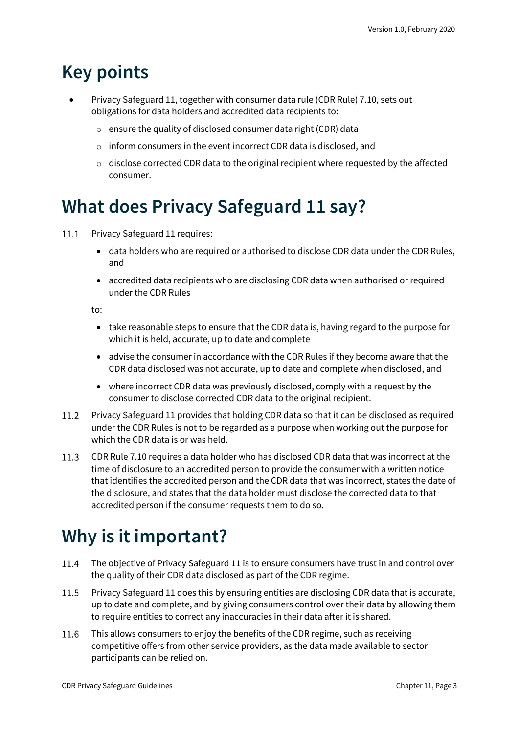## <span id="page-2-0"></span>**Key points**

- Privacy Safeguard 11, together with consumer data rule (CDR Rule) 7.10, sets out obligations for data holders and accredited data recipients to:
	- o ensure the quality of disclosed consumer data right (CDR) data
	- o inform consumers in the event incorrect CDR data is disclosed, and
	- $\circ$  disclose corrected CDR data to the original recipient where requested by the affected consumer.

### <span id="page-2-1"></span>**What does Privacy Safeguard 11 say?**

- Privacy Safeguard 11 requires:  $11.1$ 
	- data holders who are required or authorised to disclose CDR data under the CDR Rules, and
	- accredited data recipients who are disclosing CDR data when authorised or required under the CDR Rules

to:

- take reasonable steps to ensure that the CDR data is, having regard to the purpose for which it is held, accurate, up to date and complete
- advise the consumer in accordance with the CDR Rules if they become aware that the CDR data disclosed was not accurate, up to date and complete when disclosed, and
- where incorrect CDR data was previously disclosed, comply with a request by the consumer to disclose corrected CDR data to the original recipient.
- Privacy Safeguard 11 provides that holding CDR data so that it can be disclosed as required under the CDR Rules is not to be regarded as a purpose when working out the purpose for which the CDR data is or was held.
- CDR Rule 7.10 requires a data holder who has disclosed CDR data that was incorrect at the  $11.3$ time of disclosure to an accredited person to provide the consumer with a written notice that identifies the accredited person and the CDR data that was incorrect, states the date of the disclosure, and states that the data holder must disclose the corrected data to that accredited person if the consumer requests them to do so.

## <span id="page-2-2"></span>**Why is it important?**

- 11.4 The objective of Privacy Safeguard 11 is to ensure consumers have trust in and control over the quality of their CDR data disclosed as part of the CDR regime.
- 11.5 Privacy Safeguard 11 does this by ensuring entities are disclosing CDR data that is accurate, up to date and complete, and by giving consumers control over their data by allowing them to require entities to correct any inaccuracies in their data after it is shared.
- 11.6 This allows consumers to enjoy the benefits of the CDR regime, such as receiving competitive offers from other service providers, as the data made available to sector participants can be relied on.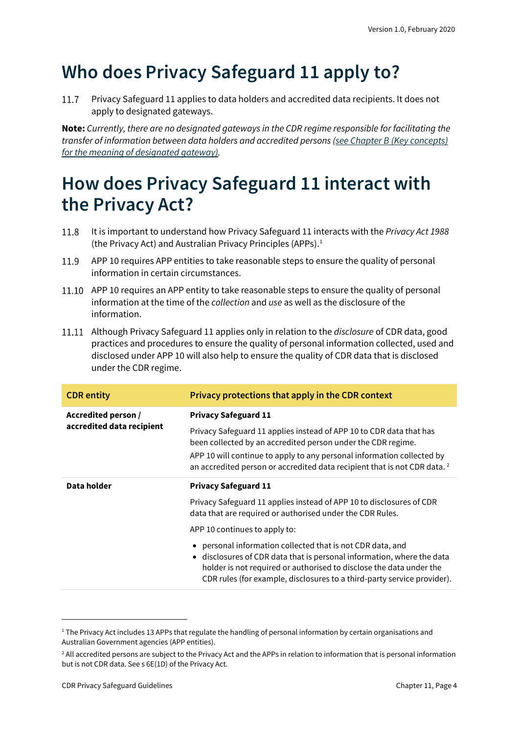## <span id="page-3-0"></span>**Who does Privacy Safeguard 11 apply to?**

Privacy Safeguard 11 applies to data holders and accredited data recipients. It does not 11.7 apply to designated gateways.

**Note:** *Currently, there are no designated gateways in the CDR regime responsible for facilitating the transfer of information between data holders and accredited persons [\(see Chapter B \(Key concepts\)](https://www.oaic.gov.au/consumer-data-right/cdr-privacy-safeguard-guidelines/chapter-b-key-concepts)  [for the meaning of designated gateway\).](https://www.oaic.gov.au/consumer-data-right/cdr-privacy-safeguard-guidelines/chapter-b-key-concepts)*

## <span id="page-3-1"></span>**How does Privacy Safeguard 11 interact with the Privacy Act?**

- 11.8 It is important to understand how Privacy Safeguard 11 interacts with the *Privacy Act 1988* (the Privacy Act) and Australian Privacy Principles (APPs). $<sup>1</sup>$  $<sup>1</sup>$  $<sup>1</sup>$ </sup>
- 11.9 APP 10 requires APP entities to take reasonable steps to ensure the quality of personal information in certain circumstances.
- 11.10 APP 10 requires an APP entity to take reasonable steps to ensure the quality of personal information at the time of the *collection* and *use* as well as the disclosure of the information.
- Although Privacy Safeguard 11 applies only in relation to the *disclosure* of CDR data, good practices and procedures to ensure the quality of personal information collected, used and disclosed under APP 10 will also help to ensure the quality of CDR data that is disclosed under the CDR regime.

| <b>CDR</b> entity                                | Privacy protections that apply in the CDR context                                                                                                                                                                                                                                    |  |  |  |
|--------------------------------------------------|--------------------------------------------------------------------------------------------------------------------------------------------------------------------------------------------------------------------------------------------------------------------------------------|--|--|--|
| Accredited person /<br>accredited data recipient | <b>Privacy Safeguard 11</b>                                                                                                                                                                                                                                                          |  |  |  |
|                                                  | Privacy Safeguard 11 applies instead of APP 10 to CDR data that has<br>been collected by an accredited person under the CDR regime.                                                                                                                                                  |  |  |  |
|                                                  | APP 10 will continue to apply to any personal information collected by<br>an accredited person or accredited data recipient that is not CDR data. <sup>2</sup>                                                                                                                       |  |  |  |
| Data holder                                      | <b>Privacy Safeguard 11</b>                                                                                                                                                                                                                                                          |  |  |  |
|                                                  | Privacy Safeguard 11 applies instead of APP 10 to disclosures of CDR<br>data that are required or authorised under the CDR Rules.                                                                                                                                                    |  |  |  |
|                                                  | APP 10 continues to apply to:                                                                                                                                                                                                                                                        |  |  |  |
|                                                  | personal information collected that is not CDR data, and<br>• disclosures of CDR data that is personal information, where the data<br>holder is not required or authorised to disclose the data under the<br>CDR rules (for example, disclosures to a third-party service provider). |  |  |  |

<span id="page-3-2"></span><sup>&</sup>lt;sup>1</sup> The Privacy Act includes 13 APPs that regulate the handling of personal information by certain organisations and Australian Government agencies (APP entities).

<span id="page-3-3"></span><sup>&</sup>lt;sup>2</sup> All accredited persons are subject to the Privacy Act and the APPs in relation to information that is personal information but is not CDR data. See s 6E(1D) of the Privacy Act.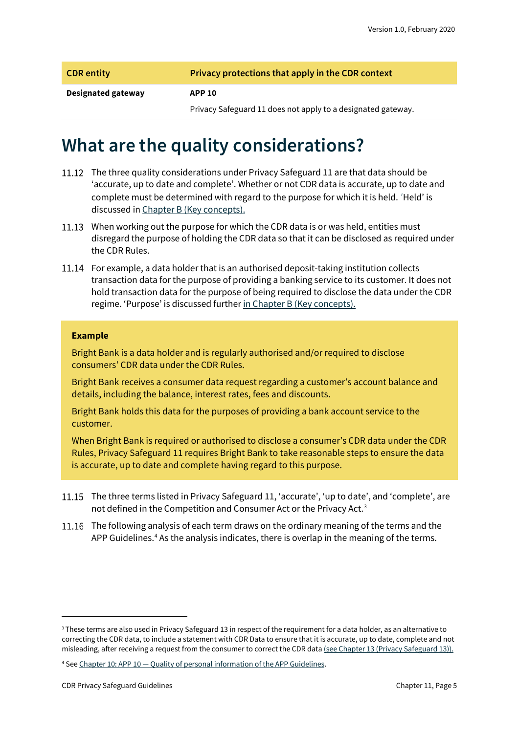|  | <b>CDR</b> entity |  |  |
|--|-------------------|--|--|
|  |                   |  |  |

**Privacy protections that apply in the CDR context** 

#### **Designated gateway APP 10**

Privacy Safeguard 11 does not apply to a designated gateway.

### <span id="page-4-0"></span>**What are the quality considerations?**

- 11.12 The three quality considerations under Privacy Safeguard 11 are that data should be 'accurate, up to date and complete'. Whether or not CDR data is accurate, up to date and complete must be determined with regard to the purpose for which it is held. 'Held' is discussed i[n Chapter B \(Key concepts\).](https://www.oaic.gov.au/consumer-data-right/cdr-privacy-safeguard-guidelines/chapter-b-key-concepts)
- 11.13 When working out the purpose for which the CDR data is or was held, entities must disregard the purpose of holding the CDR data so that it can be disclosed as required under the CDR Rules.
- 11.14 For example, a data holder that is an authorised deposit-taking institution collects transaction data for the purpose of providing a banking service to its customer. It does not hold transaction data for the purpose of being required to disclose the data under the CDR regime. 'Purpose' is discussed further [in Chapter B \(Key concepts\).](https://www.oaic.gov.au/consumer-data-right/cdr-privacy-safeguard-guidelines/chapter-b-key-concepts)

#### **Example**

Bright Bank is a data holder and is regularly authorised and/or required to disclose consumers' CDR data under the CDR Rules.

Bright Bank receives a consumer data request regarding a customer's account balance and details, including the balance, interest rates, fees and discounts.

Bright Bank holds this data for the purposes of providing a bank account service to the customer.

When Bright Bank is required or authorised to disclose a consumer's CDR data under the CDR Rules, Privacy Safeguard 11 requires Bright Bank to take reasonable steps to ensure the data is accurate, up to date and complete having regard to this purpose.

- 11.15 The three terms listed in Privacy Safeguard 11, 'accurate', 'up to date', and 'complete', are not defined in the Competition and Consumer Act or the Privacy Act.<sup>[3](#page-4-1)</sup>
- 11.16 The following analysis of each term draws on the ordinary meaning of the terms and the APP Guidelines.<sup>[4](#page-4-2)</sup> As the analysis indicates, there is overlap in the meaning of the terms.

<span id="page-4-1"></span><sup>&</sup>lt;sup>3</sup> These terms are also used in Privacy Safeguard 13 in respect of the requirement for a data holder, as an alternative to correcting the CDR data, to include a statement with CDR Data to ensure that it is accurate, up to date, complete and not misleading, after receiving a request from the consumer to correct the CDR dat[a \(see Chapter 13 \(Privacy Safeguard 13\)\).](https://www.oaic.gov.au/consumer-data-right/cdr-privacy-safeguard-guidelines/chapter-13-privacy-safeguard-13-correction-of-cdr-data)

<span id="page-4-2"></span><sup>4</sup> See Chapter 10: APP 10 — [Quality of personal information of the APP Guidelines.](https://www.oaic.gov.au/privacy/australian-privacy-principles-guidelines/chapter-10-app-10-quality-of-personal-information/)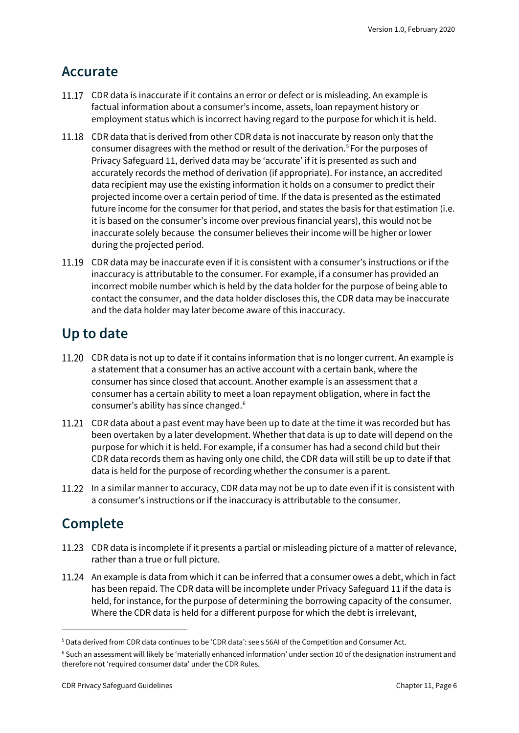#### <span id="page-5-0"></span>**Accurate**

- 11.17 CDR data is inaccurate if it contains an error or defect or is misleading. An example is factual information about a consumer's income, assets, loan repayment history or employment status which is incorrect having regard to the purpose for which it is held.
- 11.18 CDR data that is derived from other CDR data is not inaccurate by reason only that the consumer disagrees with the method or result of the derivation.[5](#page-5-3) For the purposes of Privacy Safeguard 11, derived data may be 'accurate' if it is presented as such and accurately records the method of derivation (if appropriate). For instance, an accredited data recipient may use the existing information it holds on a consumer to predict their projected income over a certain period of time. If the data is presented as the estimated future income for the consumer for that period, and states the basis for that estimation (i.e. it is based on the consumer's income over previous financial years), this would not be inaccurate solely because the consumer believes their income will be higher or lower during the projected period.
- 11.19 CDR data may be inaccurate even if it is consistent with a consumer's instructions or if the inaccuracy is attributable to the consumer. For example, if a consumer has provided an incorrect mobile number which is held by the data holder for the purpose of being able to contact the consumer, and the data holder discloses this, the CDR data may be inaccurate and the data holder may later become aware of this inaccuracy.

#### <span id="page-5-1"></span>**Up to date**

- 11.20 CDR data is not up to date if it contains information that is no longer current. An example is a statement that a consumer has an active account with a certain bank, where the consumer has since closed that account. Another example is an assessment that a consumer has a certain ability to meet a loan repayment obligation, where in fact the consumer's ability has since changed.[6](#page-5-4)
- 11.21 CDR data about a past event may have been up to date at the time it was recorded but has been overtaken by a later development. Whether that data is up to date will depend on the purpose for which it is held. For example, if a consumer has had a second child but their CDR data records them as having only one child, the CDR data will still be up to date if that data is held for the purpose of recording whether the consumer is a parent.
- 11.22 In a similar manner to accuracy, CDR data may not be up to date even if it is consistent with a consumer's instructions or if the inaccuracy is attributable to the consumer.

### <span id="page-5-2"></span>**Complete**

- CDR data is incomplete if it presents a partial or misleading picture of a matter of relevance, rather than a true or full picture.
- 11.24 An example is data from which it can be inferred that a consumer owes a debt, which in fact has been repaid. The CDR data will be incomplete under Privacy Safeguard 11 if the data is held, for instance, for the purpose of determining the borrowing capacity of the consumer. Where the CDR data is held for a different purpose for which the debt is irrelevant,

<span id="page-5-3"></span><sup>5</sup> Data derived from CDR data continues to be 'CDR data': see s 56AI of the Competition and Consumer Act.

<span id="page-5-4"></span><sup>6</sup> Such an assessment will likely be 'materially enhanced information' under section 10 of the designation instrument and therefore not 'required consumer data' under the CDR Rules.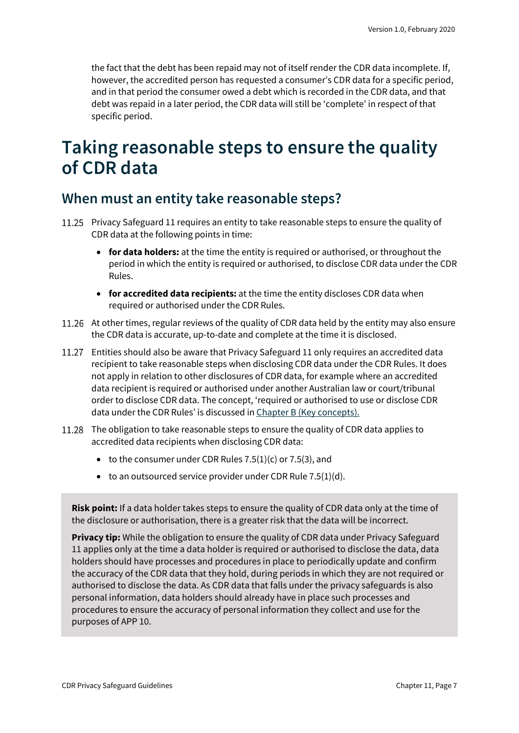the fact that the debt has been repaid may not of itself render the CDR data incomplete. If, however, the accredited person has requested a consumer's CDR data for a specific period, and in that period the consumer owed a debt which is recorded in the CDR data, and that debt was repaid in a later period, the CDR data will still be 'complete' in respect of that specific period.

### <span id="page-6-0"></span>**Taking reasonable steps to ensure the quality of CDR data**

#### <span id="page-6-1"></span>**When must an entity take reasonable steps?**

- 11.25 Privacy Safeguard 11 requires an entity to take reasonable steps to ensure the quality of CDR data at the following points in time:
	- **for data holders:** at the time the entity is required or authorised, or throughout the period in which the entity is required or authorised, to disclose CDR data under the CDR Rules.
	- **for accredited data recipients:** at the time the entity discloses CDR data when required or authorised under the CDR Rules.
- 11.26 At other times, regular reviews of the quality of CDR data held by the entity may also ensure the CDR data is accurate, up-to-date and complete at the time it is disclosed.
- 11.27 Entities should also be aware that Privacy Safeguard 11 only requires an accredited data recipient to take reasonable steps when disclosing CDR data under the CDR Rules. It does not apply in relation to other disclosures of CDR data, for example where an accredited data recipient is required or authorised under another Australian law or court/tribunal order to disclose CDR data. The concept, 'required or authorised to use or disclose CDR data under the CDR Rules' is discussed i[n Chapter B \(Key concepts\).](https://www.oaic.gov.au/consumer-data-right/cdr-privacy-safeguard-guidelines/chapter-b-key-concepts)
- 11.28 The obligation to take reasonable steps to ensure the quality of CDR data applies to accredited data recipients when disclosing CDR data:
	- to the consumer under CDR Rules  $7.5(1)(c)$  or  $7.5(3)$ , and
	- $\bullet$  to an outsourced service provider under CDR Rule 7.5(1)(d).

**Risk point:** If a data holder takes steps to ensure the quality of CDR data only at the time of the disclosure or authorisation, there is a greater risk that the data will be incorrect.

**Privacy tip:** While the obligation to ensure the quality of CDR data under Privacy Safeguard 11 applies only at the time a data holder is required or authorised to disclose the data, data holders should have processes and procedures in place to periodically update and confirm the accuracy of the CDR data that they hold, during periods in which they are not required or authorised to disclose the data. As CDR data that falls under the privacy safeguards is also personal information, data holders should already have in place such processes and procedures to ensure the accuracy of personal information they collect and use for the purposes of APP 10.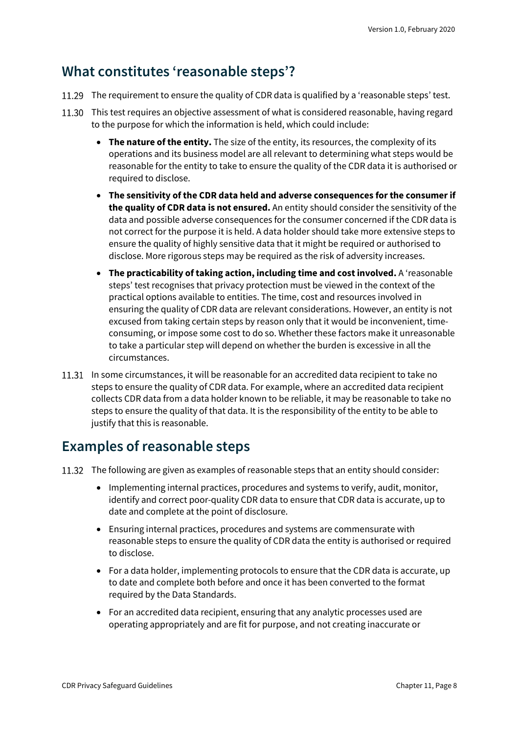#### <span id="page-7-0"></span>**What constitutes 'reasonable steps'?**

- 11.29 The requirement to ensure the quality of CDR data is qualified by a 'reasonable steps' test.
- 11.30 This test requires an objective assessment of what is considered reasonable, having regard to the purpose for which the information is held, which could include:
	- **The nature of the entity.** The size of the entity, its resources, the complexity of its operations and its business model are all relevant to determining what steps would be reasonable for the entity to take to ensure the quality of the CDR data it is authorised or required to disclose.
	- **The sensitivity of the CDR data held and adverse consequences for the consumer if the quality of CDR data is not ensured.** An entity should consider the sensitivity of the data and possible adverse consequences for the consumer concerned if the CDR data is not correct for the purpose it is held. A data holder should take more extensive steps to ensure the quality of highly sensitive data that it might be required or authorised to disclose. More rigorous steps may be required as the risk of adversity increases.
	- **The practicability of taking action, including time and cost involved.** A 'reasonable steps' test recognises that privacy protection must be viewed in the context of the practical options available to entities. The time, cost and resources involved in ensuring the quality of CDR data are relevant considerations. However, an entity is not excused from taking certain steps by reason only that it would be inconvenient, timeconsuming, or impose some cost to do so. Whether these factors make it unreasonable to take a particular step will depend on whether the burden is excessive in all the circumstances.
- 11.31 In some circumstances, it will be reasonable for an accredited data recipient to take no steps to ensure the quality of CDR data. For example, where an accredited data recipient collects CDR data from a data holder known to be reliable, it may be reasonable to take no steps to ensure the quality of that data. It is the responsibility of the entity to be able to justify that this is reasonable.

#### <span id="page-7-1"></span>**Examples of reasonable steps**

- 11.32 The following are given as examples of reasonable steps that an entity should consider:
	- Implementing internal practices, procedures and systems to verify, audit, monitor, identify and correct poor-quality CDR data to ensure that CDR data is accurate, up to date and complete at the point of disclosure.
	- Ensuring internal practices, procedures and systems are commensurate with reasonable steps to ensure the quality of CDR data the entity is authorised or required to disclose.
	- For a data holder, implementing protocols to ensure that the CDR data is accurate, up to date and complete both before and once it has been converted to the format required by the Data Standards.
	- For an accredited data recipient, ensuring that any analytic processes used are operating appropriately and are fit for purpose, and not creating inaccurate or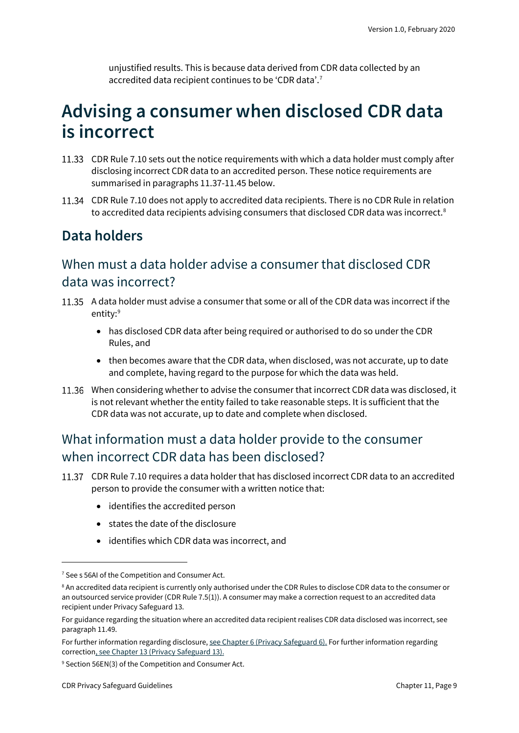unjustified results. This is because data derived from CDR data collected by an accredited data recipient continues to be 'CDR data'.<sup>[7](#page-8-2)</sup>

### <span id="page-8-0"></span>**Advising a consumer when disclosed CDR data is incorrect**

- 11.33 CDR Rule 7.10 sets out the notice requirements with which a data holder must comply after disclosing incorrect CDR data to an accredited person. These notice requirements are summarised in paragraphs 11.37-11.45 below.
- CDR Rule 7.10 does not apply to accredited data recipients. There is no CDR Rule in relation to accredited data recipients advising consumers that disclosed CDR data was incorrect.<sup>[8](#page-8-3)</sup>

### <span id="page-8-1"></span>**Data holders**

#### When must a data holder advise a consumer that disclosed CDR data was incorrect?

- A data holder must advise a consumer that some or all of the CDR data was incorrect if the entity: [9](#page-8-4)
	- has disclosed CDR data after being required or authorised to do so under the CDR Rules, and
	- then becomes aware that the CDR data, when disclosed, was not accurate, up to date and complete, having regard to the purpose for which the data was held.
- When considering whether to advise the consumer that incorrect CDR data was disclosed, it is not relevant whether the entity failed to take reasonable steps. It is sufficient that the CDR data was not accurate, up to date and complete when disclosed.

#### What information must a data holder provide to the consumer when incorrect CDR data has been disclosed?

- CDR Rule 7.10 requires a data holder that has disclosed incorrect CDR data to an accredited person to provide the consumer with a written notice that:
	- identifies the accredited person
	- states the date of the disclosure
	- identifies which CDR data was incorrect, and

<span id="page-8-2"></span><sup>&</sup>lt;sup>7</sup> See s 56AI of the Competition and Consumer Act.

<span id="page-8-3"></span><sup>&</sup>lt;sup>8</sup> An accredited data recipient is currently only authorised under the CDR Rules to disclose CDR data to the consumer or an outsourced service provider (CDR Rule 7.5(1)). A consumer may make a correction request to an accredited data recipient under Privacy Safeguard 13.

For guidance regarding the situation where an accredited data recipient realises CDR data disclosed was incorrect, see paragraph 11.49.

For further information regarding disclosure[, see Chapter 6 \(Privacy Safeguard 6\).](https://www.oaic.gov.au/consumer-data-right/cdr-privacy-safeguard-guidelines/chapter-6-privacy-safeguard-6-use-or-disclosure-of-cdr-data-by-accredited-data-recipients-or-designated-gateways) For further information regarding correctio[n, see Chapter 13 \(Privacy Safeguard 13\).](https://www.oaic.gov.au/consumer-data-right/cdr-privacy-safeguard-guidelines/chapter-13-privacy-safeguard-13-correction-of-cdr-data)

<span id="page-8-4"></span><sup>9</sup> Section 56EN(3) of the Competition and Consumer Act.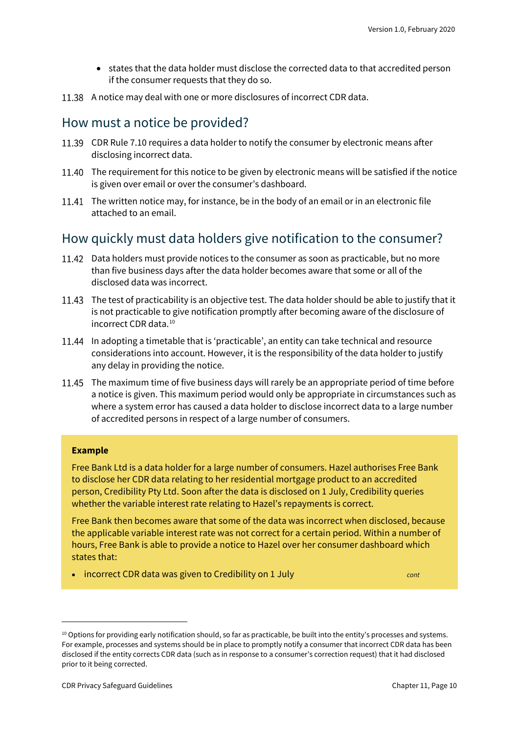- states that the data holder must disclose the corrected data to that accredited person if the consumer requests that they do so.
- 11.38 A notice may deal with one or more disclosures of incorrect CDR data.

#### How must a notice be provided?

- CDR Rule 7.10 requires a data holder to notify the consumer by electronic means after disclosing incorrect data.
- 11.40 The requirement for this notice to be given by electronic means will be satisfied if the notice is given over email or over the consumer's dashboard.
- 11.41 The written notice may, for instance, be in the body of an email or in an electronic file attached to an email.

#### How quickly must data holders give notification to the consumer?

- 11.42 Data holders must provide notices to the consumer as soon as practicable, but no more than five business days after the data holder becomes aware that some or all of the disclosed data was incorrect.
- 11.43 The test of practicability is an objective test. The data holder should be able to justify that it is not practicable to give notification promptly after becoming aware of the disclosure of incorrect CDR data.[10](#page-9-0)
- 11.44 In adopting a timetable that is 'practicable', an entity can take technical and resource considerations into account. However, it is the responsibility of the data holder to justify any delay in providing the notice.
- The maximum time of five business days will rarely be an appropriate period of time before a notice is given. This maximum period would only be appropriate in circumstances such as where a system error has caused a data holder to disclose incorrect data to a large number of accredited persons in respect of a large number of consumers.

#### **Example**

Free Bank Ltd is a data holder for a large number of consumers. Hazel authorises Free Bank to disclose her CDR data relating to her residential mortgage product to an accredited person, Credibility Pty Ltd. Soon after the data is disclosed on 1 July, Credibility queries whether the variable interest rate relating to Hazel's repayments is correct.

Free Bank then becomes aware that some of the data was incorrect when disclosed, because the applicable variable interest rate was not correct for a certain period. Within a number of hours, Free Bank is able to provide a notice to Hazel over her consumer dashboard which states that:

• incorrect CDR data was given to Credibility on 1 July *cont*

<span id="page-9-0"></span> $10$  Options for providing early notification should, so far as practicable, be built into the entity's processes and systems. For example, processes and systems should be in place to promptly notify a consumer that incorrect CDR data has been disclosed if the entity corrects CDR data (such as in response to a consumer's correction request) that it had disclosed prior to it being corrected.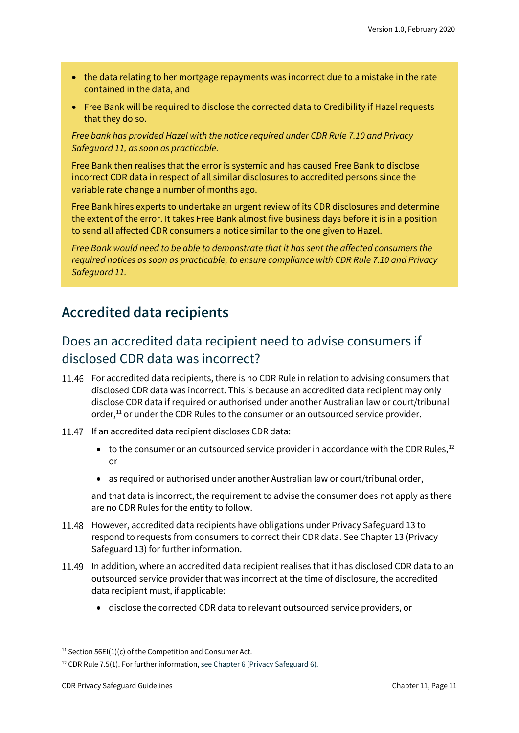- the data relating to her mortgage repayments was incorrect due to a mistake in the rate contained in the data, and
- Free Bank will be required to disclose the corrected data to Credibility if Hazel requests that they do so.

*Free bank has provided Hazel with the notice required under CDR Rule 7.10 and Privacy Safeguard 11, as soon as practicable.*

Free Bank then realises that the error is systemic and has caused Free Bank to disclose incorrect CDR data in respect of all similar disclosures to accredited persons since the variable rate change a number of months ago.

Free Bank hires experts to undertake an urgent review of its CDR disclosures and determine the extent of the error. It takes Free Bank almost five business days before it is in a position to send all affected CDR consumers a notice similar to the one given to Hazel.

*Free Bank would need to be able to demonstrate that it has sent the affected consumers the required notices as soon as practicable, to ensure compliance with CDR Rule 7.10 and Privacy Safeguard 11.*

#### <span id="page-10-0"></span>**Accredited data recipients**

#### Does an accredited data recipient need to advise consumers if disclosed CDR data was incorrect?

- For accredited data recipients, there is no CDR Rule in relation to advising consumers that disclosed CDR data was incorrect. This is because an accredited data recipient may only disclose CDR data if required or authorised under another Australian law or court/tribunal order,<sup>[11](#page-10-1)</sup> or under the CDR Rules to the consumer or an outsourced service provider.
- 11.47 If an accredited data recipient discloses CDR data:
	- $\bullet$  to the consumer or an outsourced service provider in accordance with the CDR Rules,<sup>[12](#page-10-2)</sup> or
	- as required or authorised under another Australian law or court/tribunal order,

and that data is incorrect, the requirement to advise the consumer does not apply as there are no CDR Rules for the entity to follow.

- 11.48 However, accredited data recipients have obligations under Privacy Safeguard 13 to respond to requests from consumers to correct their CDR data. See Chapter 13 (Privacy Safeguard 13) for further information.
- 11.49 In addition, where an accredited data recipient realises that it has disclosed CDR data to an outsourced service provider that was incorrect at the time of disclosure, the accredited data recipient must, if applicable:
	- disclose the corrected CDR data to relevant outsourced service providers, or

<span id="page-10-1"></span><sup>&</sup>lt;sup>11</sup> Section 56EI(1)(c) of the Competition and Consumer Act.

<span id="page-10-2"></span> $12$  CDR Rule 7.5(1). For further information[, see Chapter 6 \(Privacy Safeguard 6\).](https://www.oaic.gov.au/consumer-data-right/cdr-privacy-safeguard-guidelines/chapter-6-privacy-safeguard-6-use-or-disclosure-of-cdr-data-by-accredited-data-recipients-or-designated-gateways)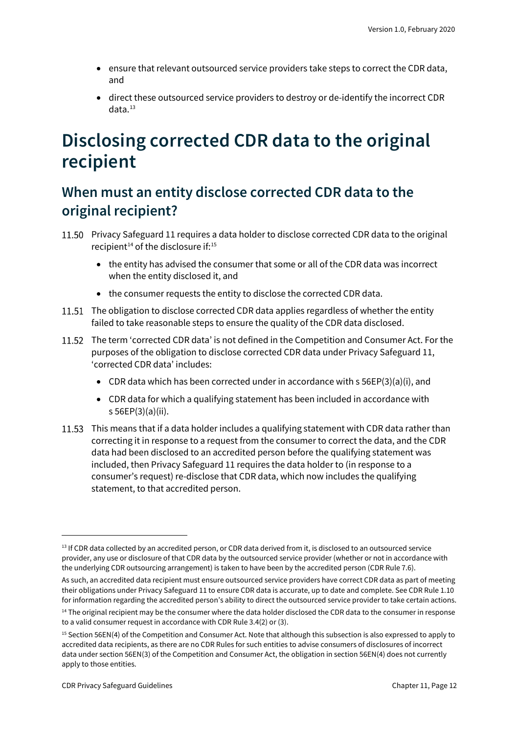- ensure that relevant outsourced service providers take steps to correct the CDR data, and
- direct these outsourced service providers to destroy or de-identify the incorrect CDR  $data.<sup>13</sup>$  $data.<sup>13</sup>$  $data.<sup>13</sup>$

## <span id="page-11-0"></span>**Disclosing corrected CDR data to the original recipient**

### <span id="page-11-1"></span>**When must an entity disclose corrected CDR data to the original recipient?**

- Privacy Safeguard 11 requires a data holder to disclose corrected CDR data to the original recipient<sup>14</sup> of the disclosure if:<sup>[15](#page-11-4)</sup>
	- the entity has advised the consumer that some or all of the CDR data was incorrect when the entity disclosed it, and
	- the consumer requests the entity to disclose the corrected CDR data.
- 11.51 The obligation to disclose corrected CDR data applies regardless of whether the entity failed to take reasonable steps to ensure the quality of the CDR data disclosed.
- 11.52 The term 'corrected CDR data' is not defined in the Competition and Consumer Act. For the purposes of the obligation to disclose corrected CDR data under Privacy Safeguard 11, 'corrected CDR data' includes:
	- CDR data which has been corrected under in accordance with s 56EP(3)(a)(i), and
	- CDR data for which a qualifying statement has been included in accordance with s 56EP(3)(a)(ii).
- 11.53 This means that if a data holder includes a qualifying statement with CDR data rather than correcting it in response to a request from the consumer to correct the data, and the CDR data had been disclosed to an accredited person before the qualifying statement was included, then Privacy Safeguard 11 requires the data holder to (in response to a consumer's request) re-disclose that CDR data, which now includes the qualifying statement, to that accredited person.

<span id="page-11-2"></span><sup>&</sup>lt;sup>13</sup> If CDR data collected by an accredited person, or CDR data derived from it, is disclosed to an outsourced service provider, any use or disclosure of that CDR data by the outsourced service provider (whether or not in accordance with the underlying CDR outsourcing arrangement) is taken to have been by the accredited person (CDR Rule 7.6).

As such, an accredited data recipient must ensure outsourced service providers have correct CDR data as part of meeting their obligations under Privacy Safeguard 11 to ensure CDR data is accurate, up to date and complete. See CDR Rule 1.10 for information regarding the accredited person's ability to direct the outsourced service provider to take certain actions.

<span id="page-11-3"></span><sup>&</sup>lt;sup>14</sup> The original recipient may be the consumer where the data holder disclosed the CDR data to the consumer in response to a valid consumer request in accordance with CDR Rule 3.4(2) or (3).

<span id="page-11-4"></span><sup>&</sup>lt;sup>15</sup> Section 56EN(4) of the Competition and Consumer Act. Note that although this subsection is also expressed to apply to accredited data recipients, as there are no CDR Rules for such entities to advise consumers of disclosures of incorrect data under section 56EN(3) of the Competition and Consumer Act, the obligation in section 56EN(4) does not currently apply to those entities.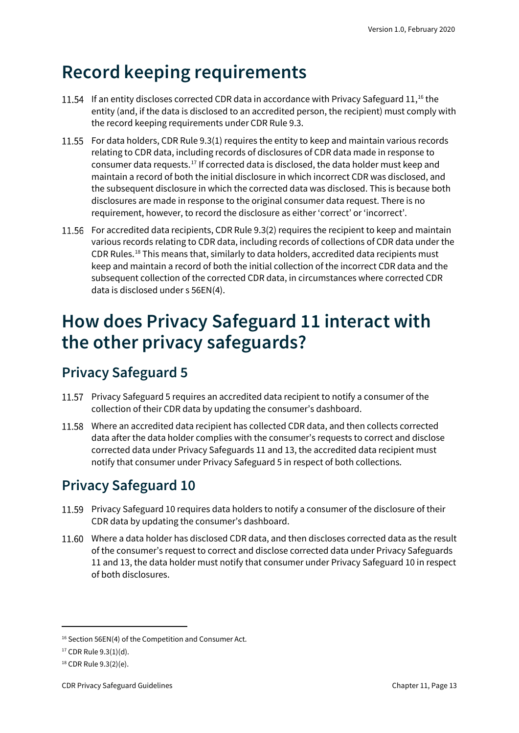## <span id="page-12-0"></span>**Record keeping requirements**

- 11.54 If an entity discloses corrected CDR data in accordance with Privacy Safeguard  $11$ ,<sup>[16](#page-12-4)</sup> the entity (and, if the data is disclosed to an accredited person, the recipient) must comply with the record keeping requirements under CDR Rule 9.3.
- For data holders, CDR Rule 9.3(1) requires the entity to keep and maintain various records relating to CDR data, including records of disclosures of CDR data made in response to consumer data requests.[17](#page-12-5) If corrected data is disclosed, the data holder must keep and maintain a record of both the initial disclosure in which incorrect CDR was disclosed, and the subsequent disclosure in which the corrected data was disclosed. This is because both disclosures are made in response to the original consumer data request. There is no requirement, however, to record the disclosure as either 'correct' or 'incorrect'.
- 11.56 For accredited data recipients, CDR Rule 9.3(2) requires the recipient to keep and maintain various records relating to CDR data, including records of collections of CDR data under the CDR Rules.[18](#page-12-6) This means that, similarly to data holders, accredited data recipients must keep and maintain a record of both the initial collection of the incorrect CDR data and the subsequent collection of the corrected CDR data, in circumstances where corrected CDR data is disclosed under s 56EN(4).

## <span id="page-12-1"></span>**How does Privacy Safeguard 11 interact with the other privacy safeguards?**

### <span id="page-12-2"></span>**Privacy Safeguard 5**

- 11.57 Privacy Safeguard 5 requires an accredited data recipient to notify a consumer of the collection of their CDR data by updating the consumer's dashboard.
- Where an accredited data recipient has collected CDR data, and then collects corrected data after the data holder complies with the consumer's requests to correct and disclose corrected data under Privacy Safeguards 11 and 13, the accredited data recipient must notify that consumer under Privacy Safeguard 5 in respect of both collections.

### <span id="page-12-3"></span>**Privacy Safeguard 10**

- Privacy Safeguard 10 requires data holders to notify a consumer of the disclosure of their CDR data by updating the consumer's dashboard.
- Where a data holder has disclosed CDR data, and then discloses corrected data as the result of the consumer's request to correct and disclose corrected data under Privacy Safeguards 11 and 13, the data holder must notify that consumer under Privacy Safeguard 10 in respect of both disclosures.

<span id="page-12-4"></span><sup>&</sup>lt;sup>16</sup> Section 56EN(4) of the Competition and Consumer Act.

<span id="page-12-5"></span><sup>17</sup> CDR Rule 9.3(1)(d).

<span id="page-12-6"></span><sup>18</sup> CDR Rule 9.3(2)(e).